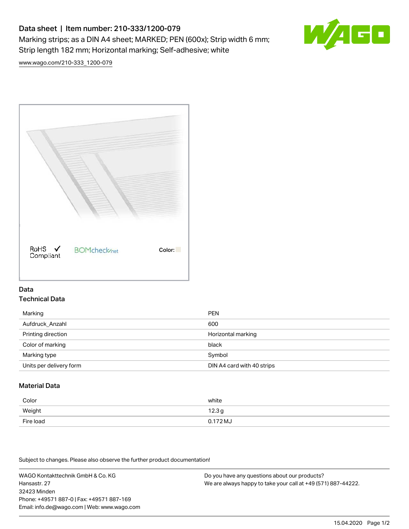# Data sheet | Item number: 210-333/1200-079 Marking strips; as a DIN A4 sheet; MARKED; PEN (600x); Strip width 6 mm; Strip length 182 mm; Horizontal marking; Self-adhesive; white



[www.wago.com/210-333\\_1200-079](http://www.wago.com/210-333_1200-079)



### Data Technical Data

| Marking                 | <b>PEN</b>                 |
|-------------------------|----------------------------|
| Aufdruck Anzahl         | 600                        |
| Printing direction      | Horizontal marking         |
| Color of marking        | black                      |
| Marking type            | Symbol                     |
| Units per delivery form | DIN A4 card with 40 strips |

## Material Data

| Color     | white             |
|-----------|-------------------|
| Weight    | 12.3 <sub>g</sub> |
| Fire load | $0.172 M_J$       |

Subject to changes. Please also observe the further product documentation!

WAGO Kontakttechnik GmbH & Co. KG Hansastr. 27 32423 Minden Phone: +49571 887-0 | Fax: +49571 887-169 Email: info.de@wago.com | Web: www.wago.com

Do you have any questions about our products? We are always happy to take your call at +49 (571) 887-44222.